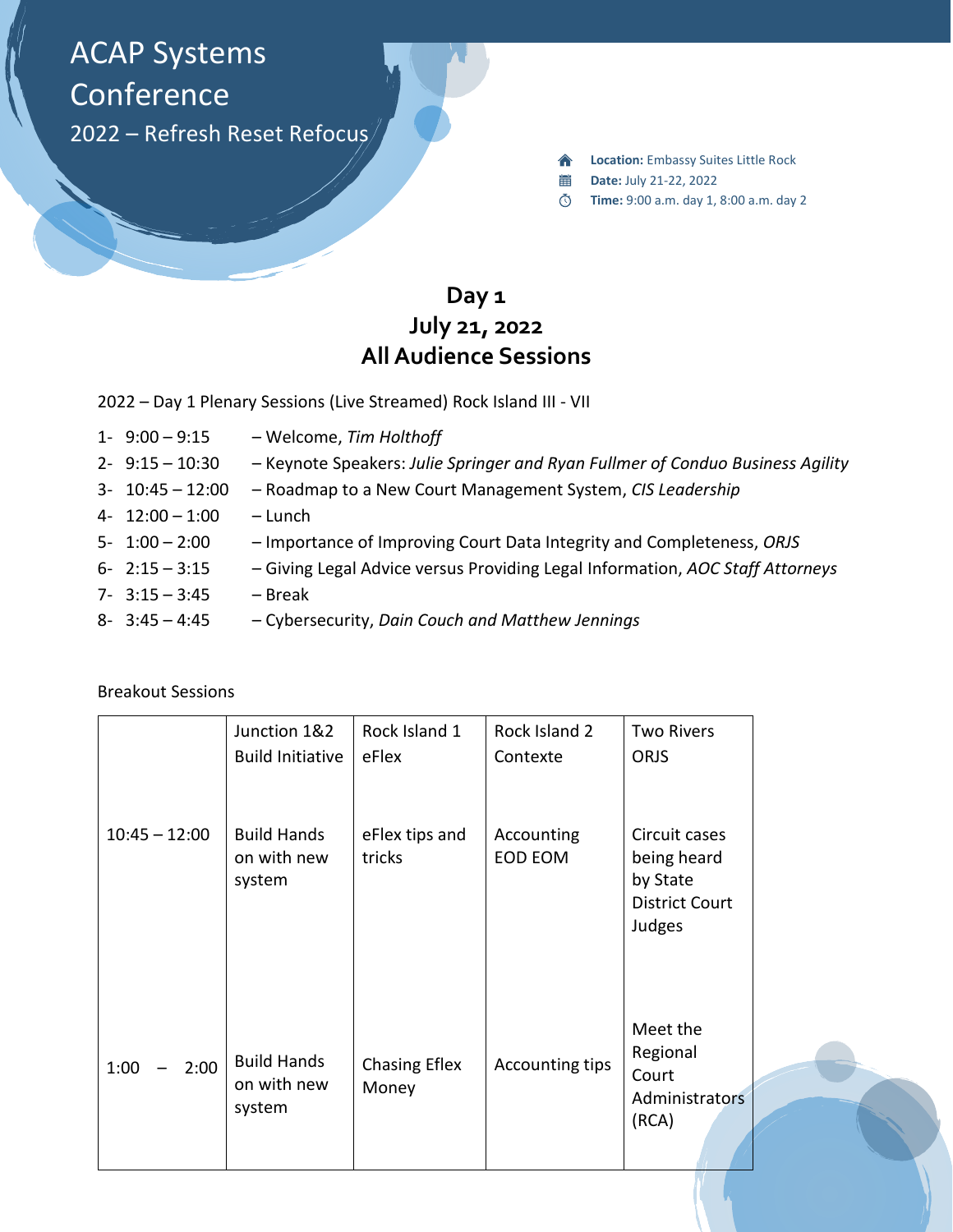### ACAP Systems **Conference**

2022 – Refresh Reset Refocus

♠ **Location:** Embassy Suites Little Rock

- 雦 **Date:** July 21-22, 2022
- **Time:** 9:00 a.m. day 1, 8:00 a.m. day 2  $\circledcirc$

#### **Day 1 July 21, 2022 All Audience Sessions**

2022 – Day 1 Plenary Sessions (Live Streamed) Rock Island III - VII

- 1- 9:00 9:15 Welcome, *Tim Holthoff*
- 2- 9:15 10:30 Keynote Speakers: *Julie Springer and Ryan Fullmer of Conduo Business Agility*
- 3- 10:45 12:00 Roadmap to a New Court Management System, *CIS Leadership*
- 4- 12:00 1:00 Lunch
- 5- 1:00 2:00 Importance of Improving Court Data Integrity and Completeness, *ORJS*
- 6- 2:15 3:15 Giving Legal Advice versus Providing Legal Information, *AOC Staff Attorneys*
- 7- 3:15 3:45 Break
- 8- 3:45 4:45 Cybersecurity, *Dain Couch and Matthew Jennings*

#### Breakout Sessions

|                 | Junction 1&2<br><b>Build Initiative</b>     | Rock Island 1<br>eFlex        | Rock Island 2<br>Contexte | <b>Two Rivers</b><br><b>ORJS</b>                                            |
|-----------------|---------------------------------------------|-------------------------------|---------------------------|-----------------------------------------------------------------------------|
| $10:45 - 12:00$ | <b>Build Hands</b><br>on with new<br>system | eFlex tips and<br>tricks      | Accounting<br>EOD EOM     | Circuit cases<br>being heard<br>by State<br><b>District Court</b><br>Judges |
| 2:00<br>1:00    | <b>Build Hands</b><br>on with new<br>system | <b>Chasing Eflex</b><br>Money | Accounting tips           | Meet the<br>Regional<br>Court<br>Administrators<br>(RCA)                    |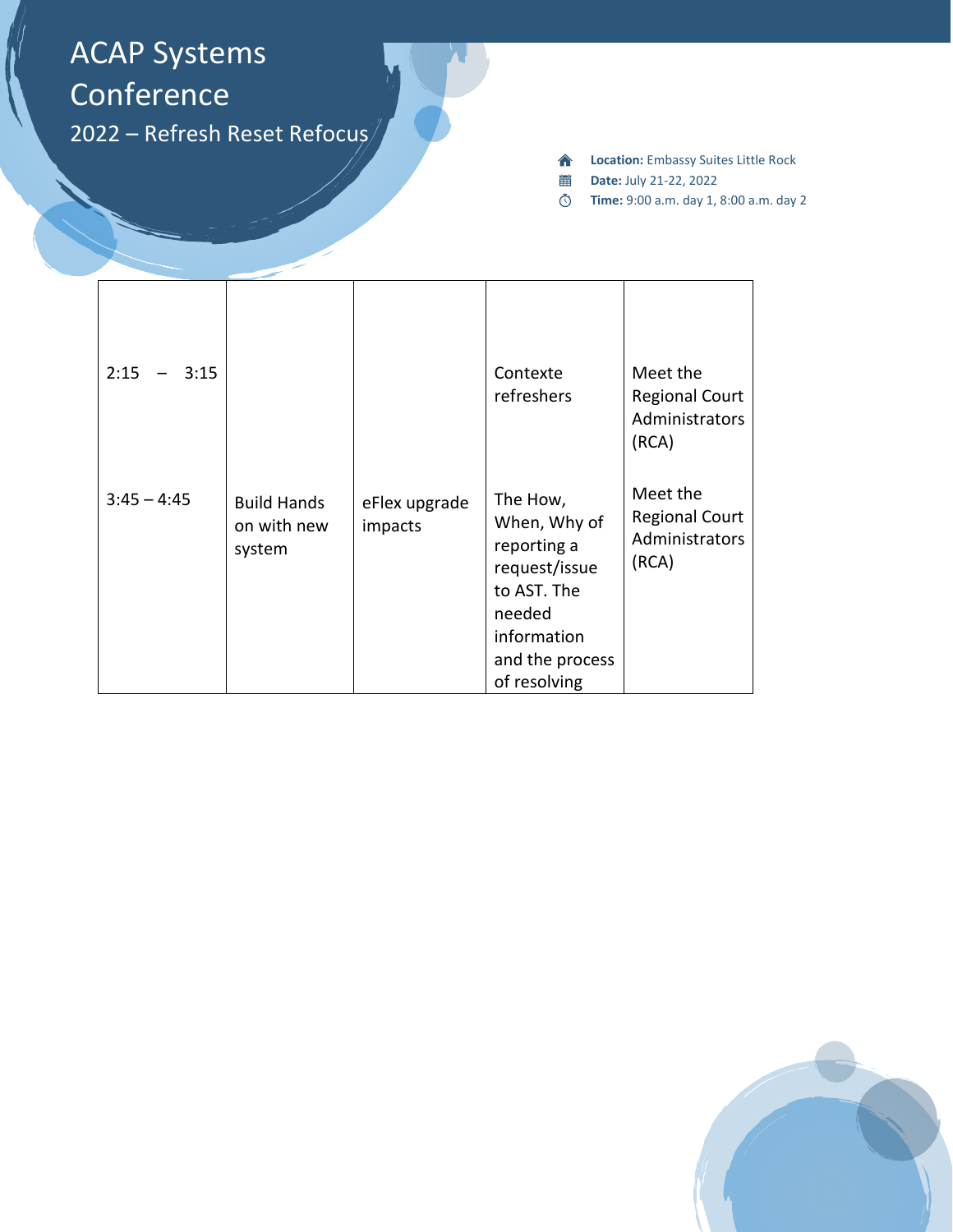# ACAP Systems **Conference**

2022 – Refresh Reset Refocus

**Location:** Embassy Suites Little Rock 合

- **Date:** July 21-22, 2022 羀
- $\ddot{\odot}$ **Time:** 9:00 a.m. day 1, 8:00 a.m. day 2

| 2:15<br>3:15  |                                             |                          | Contexte<br>refreshers                                                                                                              | Meet the<br><b>Regional Court</b><br>Administrators<br>(RCA) |
|---------------|---------------------------------------------|--------------------------|-------------------------------------------------------------------------------------------------------------------------------------|--------------------------------------------------------------|
| $3:45 - 4:45$ | <b>Build Hands</b><br>on with new<br>system | eFlex upgrade<br>impacts | The How,<br>When, Why of<br>reporting a<br>request/issue<br>to AST. The<br>needed<br>information<br>and the process<br>of resolving | Meet the<br><b>Regional Court</b><br>Administrators<br>(RCA) |